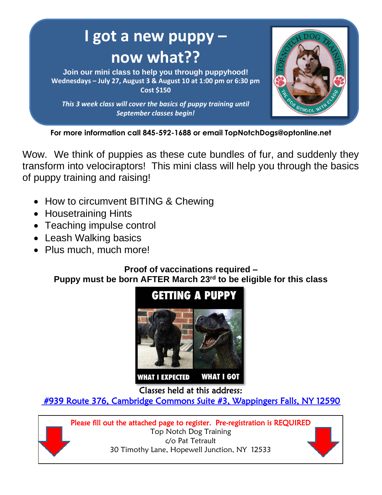

**For more information call 845-592-1688 or email TopNotchDogs@optonline.net**

Wow. We think of puppies as these cute bundles of fur, and suddenly they transform into velociraptors! This mini class will help you through the basics of puppy training and raising!

- How to circumvent BITING & Chewing
- Housetraining Hints
- Teaching impulse control
- Leash Walking basics
- Plus much, much more!

## **Proof of vaccinations required – Puppy must be born AFTER March 23rd to be eligible for this class**



Classes held at this address:

 [#939 Route 376, Cambridge Commons Suite #3, Wappingers Falls, NY 12590](http://mapq.st/239ewVC)  

Please fill out the attached page to register. Pre-registration is REQUIRED Top Notch Dog Training c/o Pat Tetrault 30 Timothy Lane, Hopewell Junction, NY 12533